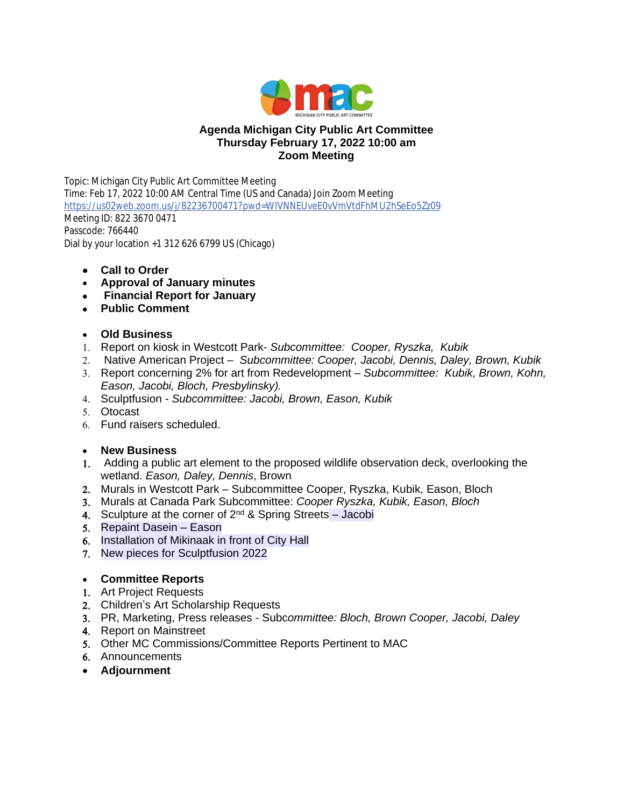

# **Agenda Michigan City Public Art Committee Thursday February 17, 2022 10:00 am Zoom Meeting**

Topic: Michigan City Public Art Committee Meeting Time: Feb 17, 2022 10:00 AM Central Time (US and Canada) Join Zoom Meeting <https://us02web.zoom.us/j/82236700471?pwd=WlVNNEUveE0vVmVtdFhMU2hSeEo5Zz09> Meeting ID: 822 3670 0471 Passcode: 766440 Dial by your location +1 312 626 6799 US (Chicago)

- **Call to Order**
- **Approval of January minutes**
- **Financial Report for January**
- **Public Comment**

## **Old Business**

- 1. Report on kiosk in Westcott Park- *Subcommittee: Cooper, Ryszka, Kubik*
- 2. Native American Project *Subcommittee: Cooper, Jacobi, Dennis, Daley, Brown, Kubik*
- 3. Report concerning 2% for art from Redevelopment *Subcommittee: Kubik, Brown, Kohn, Eason, Jacobi, Bloch, Presbylinsky).*
- 4. Sculptfusion *Subcommittee: Jacobi, Brown, Eason, Kubik*
- 5. Otocast
- 6. Fund raisers scheduled.

## **New Business**

- 1. Adding a public art element to the proposed wildlife observation deck, overlooking the wetland. *Eason, Daley, Dennis*, Brown
- 2. Murals in Westcott Park Subcommittee Cooper, Ryszka, Kubik, Eason, Bloch
- 3. Murals at Canada Park Subcommittee: *Cooper Ryszka, Kubik, Eason, Bloch*
- 4. Sculpture at the corner of 2<sup>nd</sup> & Spring Streets Jacobi
- 5. Repaint Dasein Eason
- 6. Installation of Mikinaak in front of City Hall
- 7. New pieces for Sculptfusion 2022

## **Committee Reports**

- 1. Art Project Requests
- 2. Children's Art Scholarship Requests
- 3. PR, Marketing, Press releases Subc*ommittee: Bloch, Brown Cooper, Jacobi, Daley*
- 4. Report on Mainstreet
- 5. Other MC Commissions/Committee Reports Pertinent to MAC
- 6. Announcements
- **Adjournment**